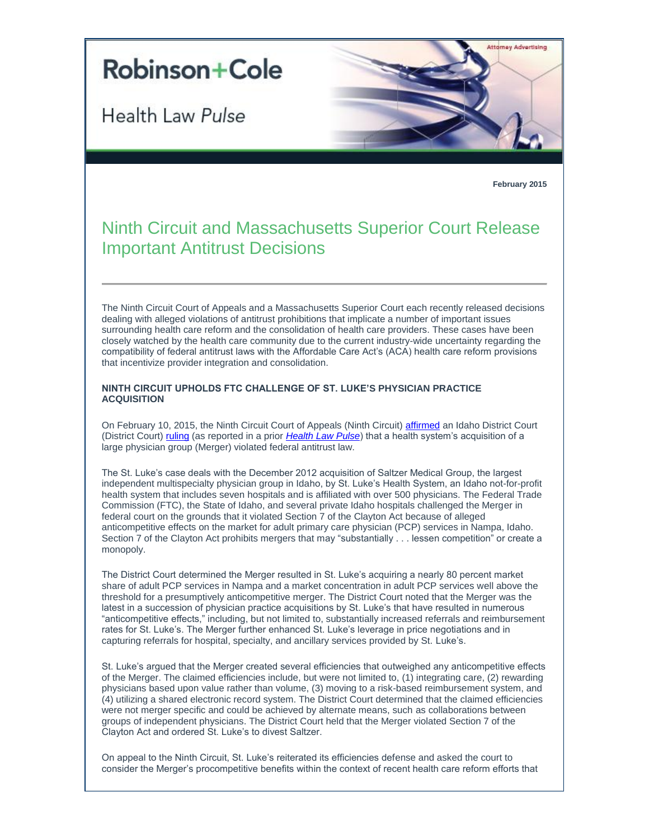## **Robinson+Cole**

Health Law Pulse



**February 2015**

## Ninth Circuit and Massachusetts Superior Court Release Important Antitrust Decisions

The Ninth Circuit Court of Appeals and a Massachusetts Superior Court each recently released decisions dealing with alleged violations of antitrust prohibitions that implicate a number of important issues surrounding health care reform and the consolidation of health care providers. These cases have been closely watched by the health care community due to the current industry-wide uncertainty regarding the compatibility of federal antitrust laws with the Affordable Care Act's (ACA) health care reform provisions that incentivize provider integration and consolidation.

## **NINTH CIRCUIT UPHOLDS FTC CHALLENGE OF ST. LUKE'S PHYSICIAN PRACTICE ACQUISITION**

On February 10, 2015, the Ninth Circuit Court of Appeals (Ninth Circuit[\) affirmed](http://t2806904.omkt.co/track.aspx?id=402|2AD478|6F10|19C|962|0|8EA|1|3EFFD8D9&destination=http%3a%2f%2fwww.ftc.gov%2fsystem%2ffiles%2fdocuments%2fcases%2f150210stlukeopinion.pdf&dchk=25CD33AF) an Idaho District Court (District Court[\) ruling](http://t2806904.omkt.co/track.aspx?id=402|2AD478|6F10|19C|962|0|8EB|1|3EFFD8D9&destination=http%3a%2f%2fwww.ftc.gov%2fsystem%2ffiles%2fdocuments%2fcases%2f140124stlukesfindings.pdf&dchk=48FB9059) (as reported in a prior *[Health Law Pulse](http://t2806904.omkt.co/track.aspx?id=402|2AD478|6F10|19C|962|0|8EC|1|3EFFD8D9&destination=http%3a%2f%2fwww.rc.com%2fnewsletters%2f2014%2fupload%2fLegal-Update_Health-Law-Pulse_2-4-14.pdf%3futm_source%3dVocus%26utm_medium%3demail%26utm_campaign%3dRobinson%2b%2526%2bCole%2bLLP%26utm_content%3dBHC%2bHealth%2bLaw%2bPulse%2b%2bFebruary%2b2015&dchk=46F6D163)*) that a health system's acquisition of a large physician group (Merger) violated federal antitrust law.

The St. Luke's case deals with the December 2012 acquisition of Saltzer Medical Group, the largest independent multispecialty physician group in Idaho, by St. Luke's Health System, an Idaho not-for-profit health system that includes seven hospitals and is affiliated with over 500 physicians. The Federal Trade Commission (FTC), the State of Idaho, and several private Idaho hospitals challenged the Merger in federal court on the grounds that it violated Section 7 of the Clayton Act because of alleged anticompetitive effects on the market for adult primary care physician (PCP) services in Nampa, Idaho. Section 7 of the Clayton Act prohibits mergers that may "substantially . . . lessen competition" or create a monopoly.

The District Court determined the Merger resulted in St. Luke's acquiring a nearly 80 percent market share of adult PCP services in Nampa and a market concentration in adult PCP services well above the threshold for a presumptively anticompetitive merger. The District Court noted that the Merger was the latest in a succession of physician practice acquisitions by St. Luke's that have resulted in numerous "anticompetitive effects," including, but not limited to, substantially increased referrals and reimbursement rates for St. Luke's. The Merger further enhanced St. Luke's leverage in price negotiations and in capturing referrals for hospital, specialty, and ancillary services provided by St. Luke's.

St. Luke's argued that the Merger created several efficiencies that outweighed any anticompetitive effects of the Merger. The claimed efficiencies include, but were not limited to, (1) integrating care, (2) rewarding physicians based upon value rather than volume, (3) moving to a risk-based reimbursement system, and (4) utilizing a shared electronic record system. The District Court determined that the claimed efficiencies were not merger specific and could be achieved by alternate means, such as collaborations between groups of independent physicians. The District Court held that the Merger violated Section 7 of the Clayton Act and ordered St. Luke's to divest Saltzer.

On appeal to the Ninth Circuit, St. Luke's reiterated its efficiencies defense and asked the court to consider the Merger's procompetitive benefits within the context of recent health care reform efforts that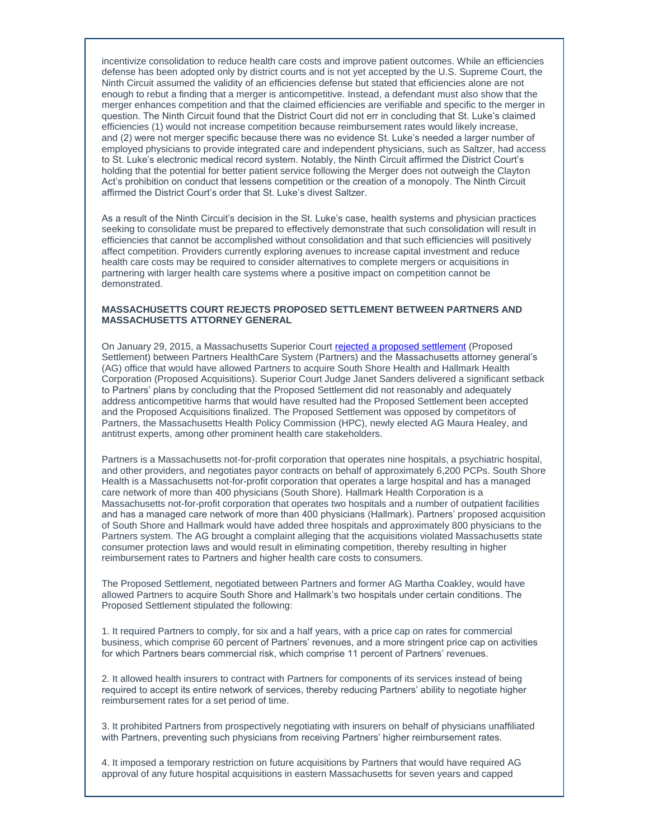incentivize consolidation to reduce health care costs and improve patient outcomes. While an efficiencies defense has been adopted only by district courts and is not yet accepted by the U.S. Supreme Court, the Ninth Circuit assumed the validity of an efficiencies defense but stated that efficiencies alone are not enough to rebut a finding that a merger is anticompetitive. Instead, a defendant must also show that the merger enhances competition and that the claimed efficiencies are verifiable and specific to the merger in question. The Ninth Circuit found that the District Court did not err in concluding that St. Luke's claimed efficiencies (1) would not increase competition because reimbursement rates would likely increase, and (2) were not merger specific because there was no evidence St. Luke's needed a larger number of employed physicians to provide integrated care and independent physicians, such as Saltzer, had access to St. Luke's electronic medical record system. Notably, the Ninth Circuit affirmed the District Court's holding that the potential for better patient service following the Merger does not outweigh the Clayton Act's prohibition on conduct that lessens competition or the creation of a monopoly. The Ninth Circuit affirmed the District Court's order that St. Luke's divest Saltzer.

As a result of the Ninth Circuit's decision in the St. Luke's case, health systems and physician practices seeking to consolidate must be prepared to effectively demonstrate that such consolidation will result in efficiencies that cannot be accomplished without consolidation and that such efficiencies will positively affect competition. Providers currently exploring avenues to increase capital investment and reduce health care costs may be required to consider alternatives to complete mergers or acquisitions in partnering with larger health care systems where a positive impact on competition cannot be demonstrated.

## **MASSACHUSETTS COURT REJECTS PROPOSED SETTLEMENT BETWEEN PARTNERS AND MASSACHUSETTS ATTORNEY GENERAL**

On January 29, 2015, a Massachusetts Superior Court [rejected a proposed settlement](http://t2806904.omkt.co/track.aspx?id=402|2AD478|6F10|19C|962|0|8ED|1|3EFFD8D9&destination=http%3a%2f%2fwww.mass.gov%2fago%2fdocs%2fpress%2f2015%2fpartners-memo-of-decision-and-order.pdf&dchk=5F0ECCF5) (Proposed Settlement) between Partners HealthCare System (Partners) and the Massachusetts attorney general's (AG) office that would have allowed Partners to acquire South Shore Health and Hallmark Health Corporation (Proposed Acquisitions). Superior Court Judge Janet Sanders delivered a significant setback to Partners' plans by concluding that the Proposed Settlement did not reasonably and adequately address anticompetitive harms that would have resulted had the Proposed Settlement been accepted and the Proposed Acquisitions finalized. The Proposed Settlement was opposed by competitors of Partners, the Massachusetts Health Policy Commission (HPC), newly elected AG Maura Healey, and antitrust experts, among other prominent health care stakeholders.

Partners is a Massachusetts not-for-profit corporation that operates nine hospitals, a psychiatric hospital, and other providers, and negotiates payor contracts on behalf of approximately 6,200 PCPs. South Shore Health is a Massachusetts not-for-profit corporation that operates a large hospital and has a managed care network of more than 400 physicians (South Shore). Hallmark Health Corporation is a Massachusetts not-for-profit corporation that operates two hospitals and a number of outpatient facilities and has a managed care network of more than 400 physicians (Hallmark). Partners' proposed acquisition of South Shore and Hallmark would have added three hospitals and approximately 800 physicians to the Partners system. The AG brought a complaint alleging that the acquisitions violated Massachusetts state consumer protection laws and would result in eliminating competition, thereby resulting in higher reimbursement rates to Partners and higher health care costs to consumers.

The Proposed Settlement, negotiated between Partners and former AG Martha Coakley, would have allowed Partners to acquire South Shore and Hallmark's two hospitals under certain conditions. The Proposed Settlement stipulated the following:

1. It required Partners to comply, for six and a half years, with a price cap on rates for commercial business, which comprise 60 percent of Partners' revenues, and a more stringent price cap on activities for which Partners bears commercial risk, which comprise 11 percent of Partners' revenues.

2. It allowed health insurers to contract with Partners for components of its services instead of being required to accept its entire network of services, thereby reducing Partners' ability to negotiate higher reimbursement rates for a set period of time.

3. It prohibited Partners from prospectively negotiating with insurers on behalf of physicians unaffiliated with Partners, preventing such physicians from receiving Partners' higher reimbursement rates.

4. It imposed a temporary restriction on future acquisitions by Partners that would have required AG approval of any future hospital acquisitions in eastern Massachusetts for seven years and capped